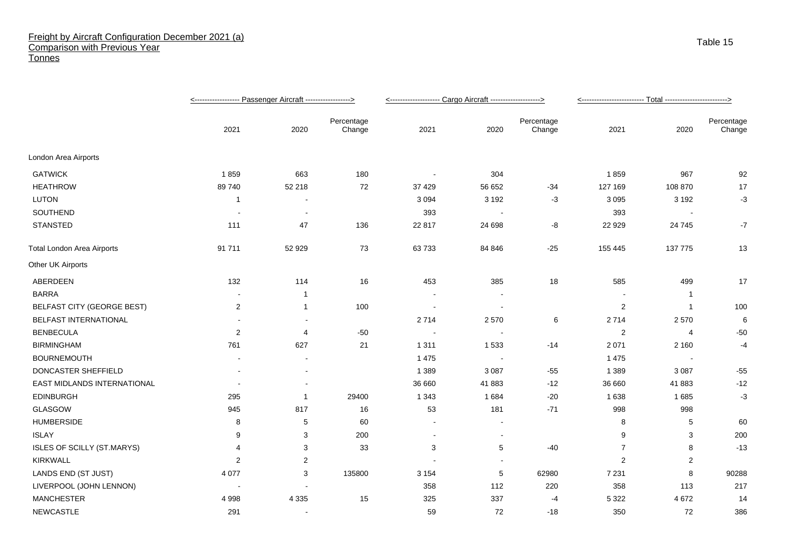## Freight by Aircraft Configuration December 2021 (a) Comparison with Previous Year **Tonnes**

|                                   |                |                          |                      | <-------------------- Cargo Aircraft -------------------> |                          |                      |                |                |                      |
|-----------------------------------|----------------|--------------------------|----------------------|-----------------------------------------------------------|--------------------------|----------------------|----------------|----------------|----------------------|
|                                   | 2021           | 2020                     | Percentage<br>Change | 2021                                                      | 2020                     | Percentage<br>Change | 2021           | 2020           | Percentage<br>Change |
| London Area Airports              |                |                          |                      |                                                           |                          |                      |                |                |                      |
| <b>GATWICK</b>                    | 1859           | 663                      | 180                  |                                                           | 304                      |                      | 1859           | 967            | 92                   |
| <b>HEATHROW</b>                   | 89 740         | 52 218                   | 72                   | 37 4 29                                                   | 56 652                   | $-34$                | 127 169        | 108 870        | 17                   |
| <b>LUTON</b>                      | -1             | $\blacksquare$           |                      | 3 0 9 4                                                   | 3 1 9 2                  | $-3$                 | 3 0 9 5        | 3 1 9 2        | $-3$                 |
| SOUTHEND                          |                | $\overline{\phantom{a}}$ |                      | 393                                                       | $\sim$                   |                      | 393            |                |                      |
| <b>STANSTED</b>                   | 111            | 47                       | 136                  | 22 817                                                    | 24 698                   | -8                   | 22 9 29        | 24 7 45        | $-7$                 |
| <b>Total London Area Airports</b> | 91 711         | 52 929                   | 73                   | 63 733                                                    | 84 846                   | $-25$                | 155 445        | 137 775        | 13                   |
| Other UK Airports                 |                |                          |                      |                                                           |                          |                      |                |                |                      |
| ABERDEEN                          | 132            | 114                      | 16                   | 453                                                       | 385                      | 18                   | 585            | 499            | 17                   |
| <b>BARRA</b>                      |                | $\overline{1}$           |                      |                                                           |                          |                      |                | -1             |                      |
| <b>BELFAST CITY (GEORGE BEST)</b> | $\sqrt{2}$     | $\mathbf{1}$             | 100                  | $\overline{\phantom{a}}$                                  | $\overline{\phantom{a}}$ |                      | $\overline{c}$ | $\overline{1}$ | 100                  |
| BELFAST INTERNATIONAL             |                |                          |                      | 2714                                                      | 2570                     | 6                    | 2714           | 2570           | 6                    |
| <b>BENBECULA</b>                  | 2              | 4                        | $-50$                |                                                           |                          |                      | $\overline{c}$ | 4              | $-50$                |
| <b>BIRMINGHAM</b>                 | 761            | 627                      | 21                   | 1 3 1 1                                                   | 1 5 3 3                  | $-14$                | 2 0 7 1        | 2 1 6 0        | -4                   |
| <b>BOURNEMOUTH</b>                |                |                          |                      | 1 4 7 5                                                   | $\overline{\phantom{a}}$ |                      | 1 4 7 5        |                |                      |
| DONCASTER SHEFFIELD               |                |                          |                      | 1 3 8 9                                                   | 3 0 8 7                  | $-55$                | 1 3 8 9        | 3 0 8 7        | $-55$                |
| EAST MIDLANDS INTERNATIONAL       |                | $\blacksquare$           |                      | 36 660                                                    | 41883                    | $-12$                | 36 660         | 41 883         | $-12$                |
| <b>EDINBURGH</b>                  | 295            | -1                       | 29400                | 1 3 4 3                                                   | 1684                     | $-20$                | 1638           | 1685           | $-3$                 |
| GLASGOW                           | 945            | 817                      | 16                   | 53                                                        | 181                      | $-71$                | 998            | 998            |                      |
| <b>HUMBERSIDE</b>                 | 8              | 5                        | 60                   |                                                           |                          |                      | 8              | 5              | 60                   |
| <b>ISLAY</b>                      | 9              | 3                        | 200                  | $\blacksquare$                                            | $\blacksquare$           |                      | 9              | 3              | 200                  |
| ISLES OF SCILLY (ST.MARYS)        | 4              | 3                        | 33                   | 3                                                         | 5                        | $-40$                | $\overline{7}$ | 8              | $-13$                |
| <b>KIRKWALL</b>                   | $\overline{c}$ | $\overline{2}$           |                      |                                                           |                          |                      | 2              | 2              |                      |
| LANDS END (ST JUST)               | 4 0 7 7        | 3                        | 135800               | 3 1 5 4                                                   | 5                        | 62980                | 7 2 3 1        | 8              | 90288                |
| LIVERPOOL (JOHN LENNON)           |                |                          |                      | 358                                                       | 112                      | 220                  | 358            | 113            | 217                  |
| <b>MANCHESTER</b>                 | 4 9 9 8        | 4 3 3 5                  | 15                   | 325                                                       | 337                      | -4                   | 5 3 2 2        | 4 6 7 2        | 14                   |
| <b>NEWCASTLE</b>                  | 291            |                          |                      | 59                                                        | 72                       | $-18$                | 350            | 72             | 386                  |